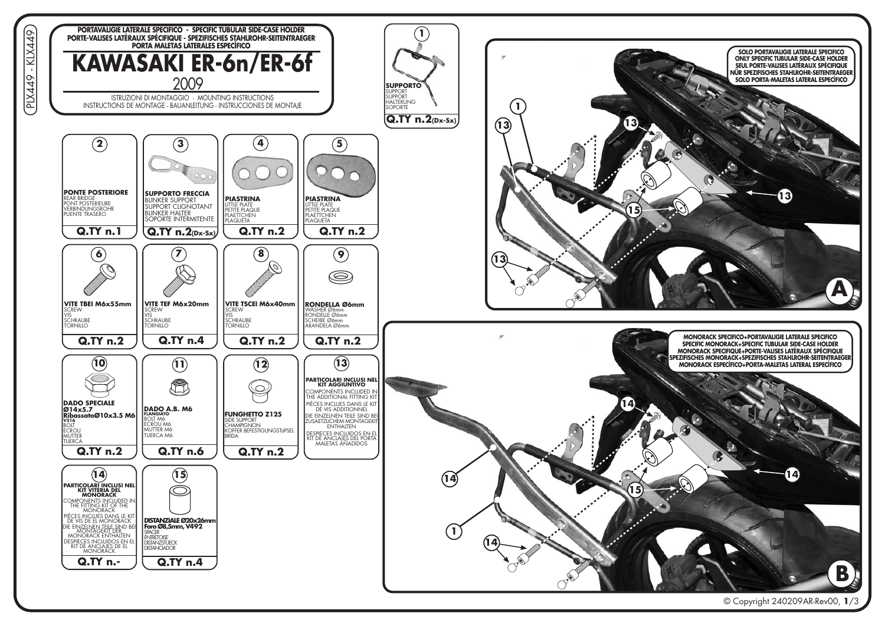



 $\overline{44}$ 1⊄  $\mathbf{r}$ PLX449

 $\Omega$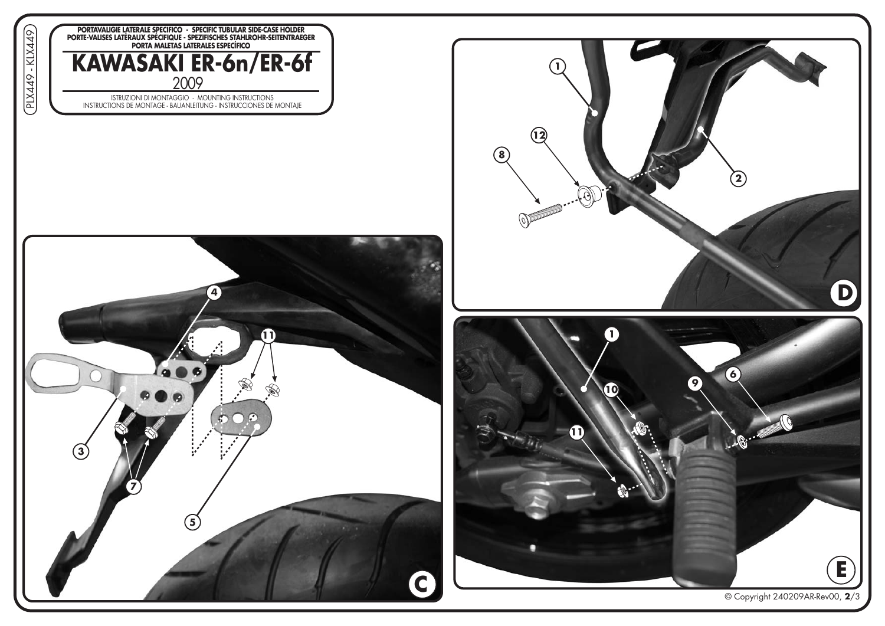